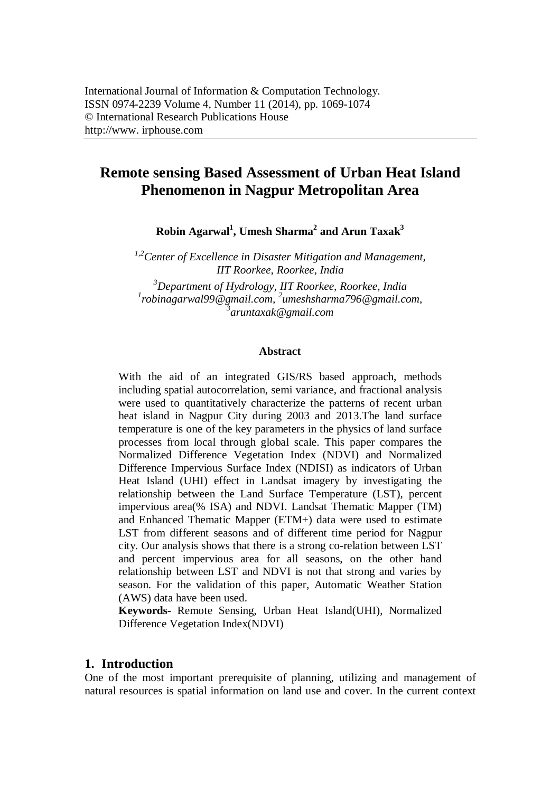# **Remote sensing Based Assessment of Urban Heat Island Phenomenon in Nagpur Metropolitan Area**

**Robin Agarwal<sup>1</sup> , Umesh Sharma<sup>2</sup> and Arun Taxak<sup>3</sup>**

*1,2Center of Excellence in Disaster Mitigation and Management, IIT Roorkee, Roorkee, India <sup>3</sup>Department of Hydrology, IIT Roorkee, Roorkee, India*

*1 robinagarwal99@gmail.com, <sup>2</sup> umeshsharma796@gmail.com, 3 aruntaxak@gmail.com*

#### **Abstract**

With the aid of an integrated GIS/RS based approach, methods including spatial autocorrelation, semi variance, and fractional analysis were used to quantitatively characterize the patterns of recent urban heat island in Nagpur City during 2003 and 2013.The land surface temperature is one of the key parameters in the physics of land surface processes from local through global scale. This paper compares the Normalized Difference Vegetation Index (NDVI) and Normalized Difference Impervious Surface Index (NDISI) as indicators of Urban Heat Island (UHI) effect in Landsat imagery by investigating the relationship between the Land Surface Temperature (LST), percent impervious area(% ISA) and NDVI. Landsat Thematic Mapper (TM) and Enhanced Thematic Mapper (ETM+) data were used to estimate LST from different seasons and of different time period for Nagpur city. Our analysis shows that there is a strong co-relation between LST and percent impervious area for all seasons, on the other hand relationship between LST and NDVI is not that strong and varies by season. For the validation of this paper, Automatic Weather Station (AWS) data have been used.

**Keywords-** Remote Sensing, Urban Heat Island(UHI), Normalized Difference Vegetation Index(NDVI)

#### **1. Introduction**

One of the most important prerequisite of planning, utilizing and management of natural resources is spatial information on land use and cover. In the current context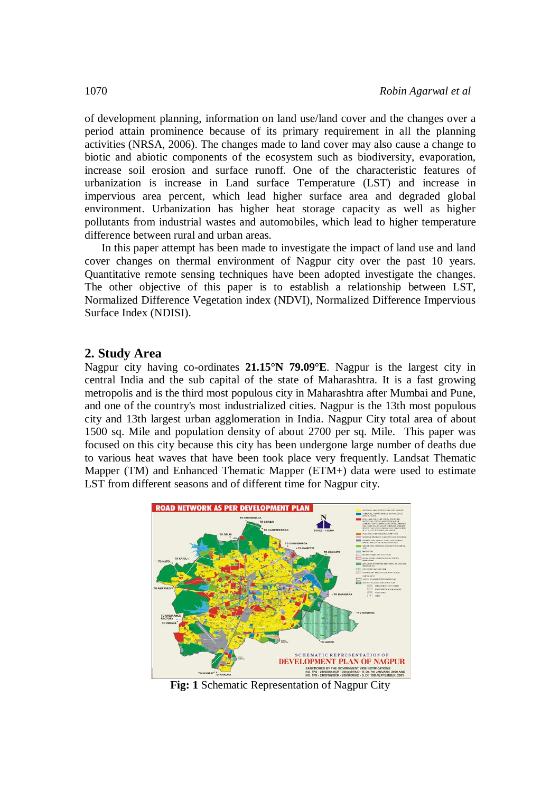of development planning, information on land use/land cover and the changes over a period attain prominence because of its primary requirement in all the planning activities (NRSA, 2006). The changes made to land cover may also cause a change to biotic and abiotic components of the ecosystem such as biodiversity, evaporation, increase soil erosion and surface runoff. One of the characteristic features of urbanization is increase in Land surface Temperature (LST) and increase in impervious area percent, which lead higher surface area and degraded global environment. Urbanization has higher heat storage capacity as well as higher pollutants from industrial wastes and automobiles, which lead to higher temperature difference between rural and urban areas.

In this paper attempt has been made to investigate the impact of land use and land cover changes on thermal environment of Nagpur city over the past 10 years. Quantitative remote sensing techniques have been adopted investigate the changes. The other objective of this paper is to establish a relationship between LST, Normalized Difference Vegetation index (NDVI), Normalized Difference Impervious Surface Index (NDISI).

#### **2. Study Area**

Nagpur city having co-ordinates **21.15°N 79.09°E**. Nagpur is the largest city in central India and the sub capital of the state of Maharashtra. It is a fast growing metropolis and is the third most populous city in Maharashtra after Mumbai and Pune, and one of the country's most industrialized cities. Nagpur is the 13th most populous city and 13th largest urban agglomeration in India. Nagpur City total area of about 1500 sq. Mile and population density of about 2700 per sq. Mile. This paper was focused on this city because this city has been undergone large number of deaths due to various heat waves that have been took place very frequently. Landsat Thematic Mapper (TM) and Enhanced Thematic Mapper (ETM+) data were used to estimate LST from different seasons and of different time for Nagpur city.



**Fig: 1** Schematic Representation of Nagpur City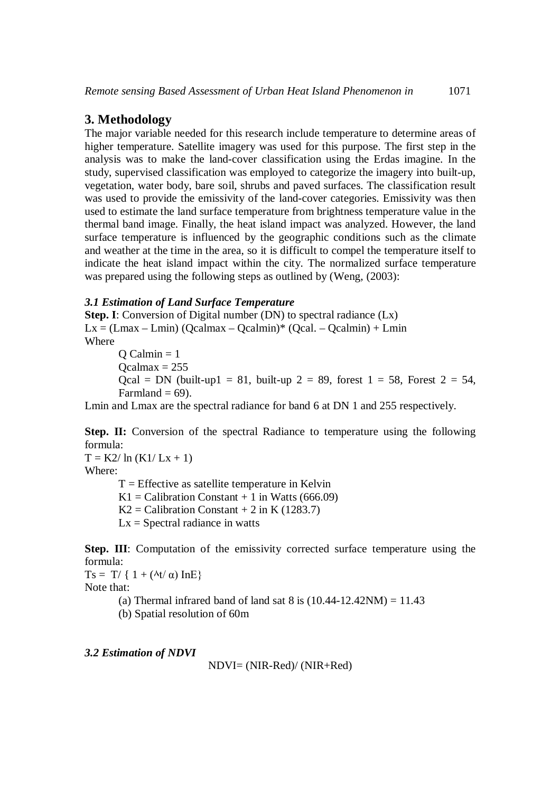### **3. Methodology**

The major variable needed for this research include temperature to determine areas of higher temperature. Satellite imagery was used for this purpose. The first step in the analysis was to make the land-cover classification using the Erdas imagine. In the study, supervised classification was employed to categorize the imagery into built-up, vegetation, water body, bare soil, shrubs and paved surfaces. The classification result was used to provide the emissivity of the land-cover categories. Emissivity was then used to estimate the land surface temperature from brightness temperature value in the thermal band image. Finally, the heat island impact was analyzed. However, the land surface temperature is influenced by the geographic conditions such as the climate and weather at the time in the area, so it is difficult to compel the temperature itself to indicate the heat island impact within the city. The normalized surface temperature was prepared using the following steps as outlined by (Weng,  $(2003)$ :

#### *3.1 Estimation of Land Surface Temperature*

**Step. I**: Conversion of Digital number (DN) to spectral radiance (Lx)  $Lx = (Lmax - Lmin) (Ocalmax - Ocalmin) * (Ocal. - Ocalmin) + Lmin$ Where

 $O$  Calmin = 1  $Ocalmax = 255$ Qcal = DN (built-up1 = 81, built-up 2 = 89, forest  $1 = 58$ , Forest  $2 = 54$ , Farmland  $= 69$ ).

Lmin and Lmax are the spectral radiance for band 6 at DN 1 and 255 respectively.

**Step. II:** Conversion of the spectral Radiance to temperature using the following formula:

 $T = K2/\ln (K1/Lx + 1)$ 

Where:

 $T =$  Effective as satellite temperature in Kelvin K1 = Calibration Constant  $+1$  in Watts (666.09)  $K2 =$  Calibration Constant + 2 in K (1283.7)  $Lx =$  Spectral radiance in watts

**Step. III**: Computation of the emissivity corrected surface temperature using the formula:

 $Ts = T / \{ 1 + (\lambda t / \alpha) \text{ InE} \}$ Note that:

(a) Thermal infrared band of land sat 8 is  $(10.44-12.42NM) = 11.43$ 

(b) Spatial resolution of 60m

#### *3.2 Estimation of NDVI*

NDVI= (NIR-Red)/ (NIR+Red)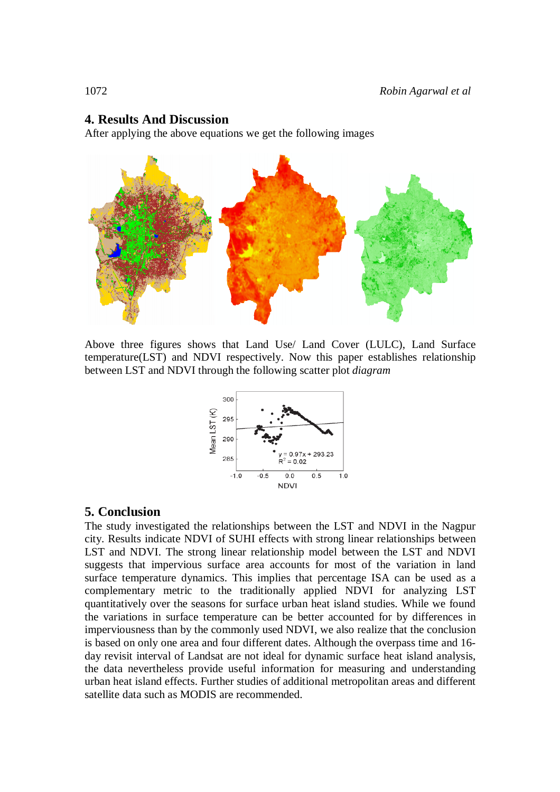## **4. Results And Discussion**

After applying the above equations we get the following images



Above three figures shows that Land Use/ Land Cover (LULC), Land Surface temperature(LST) and NDVI respectively. Now this paper establishes relationship between LST and NDVI through the following scatter plot *diagram*



## **5. Conclusion**

The study investigated the relationships between the LST and NDVI in the Nagpur city. Results indicate NDVI of SUHI effects with strong linear relationships between LST and NDVI. The strong linear relationship model between the LST and NDVI suggests that impervious surface area accounts for most of the variation in land surface temperature dynamics. This implies that percentage ISA can be used as a complementary metric to the traditionally applied NDVI for analyzing LST quantitatively over the seasons for surface urban heat island studies. While we found the variations in surface temperature can be better accounted for by differences in imperviousness than by the commonly used NDVI, we also realize that the conclusion is based on only one area and four different dates. Although the overpass time and 16 day revisit interval of Landsat are not ideal for dynamic surface heat island analysis, the data nevertheless provide useful information for measuring and understanding urban heat island effects. Further studies of additional metropolitan areas and different satellite data such as MODIS are recommended.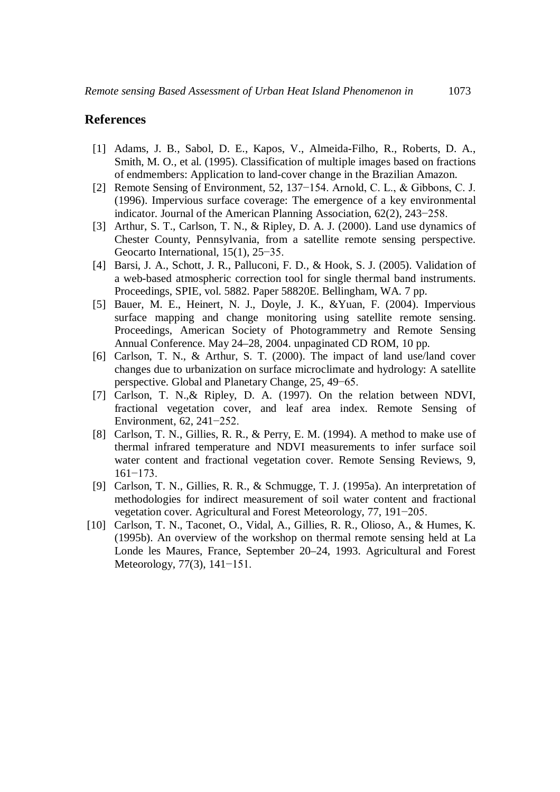#### **References**

- [1] Adams, J. B., Sabol, D. E., Kapos, V., Almeida-Filho, R., Roberts, D. A., Smith, M. O., et al. (1995). Classification of multiple images based on fractions of endmembers: Application to land-cover change in the Brazilian Amazon.
- [2] Remote Sensing of Environment, 52, 137−154. Arnold, C. L., & Gibbons, C. J. (1996). Impervious surface coverage: The emergence of a key environmental indicator. Journal of the American Planning Association, 62(2), 243−258.
- [3] Arthur, S. T., Carlson, T. N., & Ripley, D. A. J. (2000). Land use dynamics of Chester County, Pennsylvania, from a satellite remote sensing perspective. Geocarto International, 15(1), 25−35.
- [4] Barsi, J. A., Schott, J. R., Palluconi, F. D., & Hook, S. J. (2005). Validation of a web-based atmospheric correction tool for single thermal band instruments. Proceedings, SPIE, vol. 5882. Paper 58820E. Bellingham, WA. 7 pp.
- [5] Bauer, M. E., Heinert, N. J., Doyle, J. K., &Yuan, F. (2004). Impervious surface mapping and change monitoring using satellite remote sensing. Proceedings, American Society of Photogrammetry and Remote Sensing Annual Conference. May 24–28, 2004. unpaginated CD ROM, 10 pp.
- [6] Carlson, T. N., & Arthur, S. T. (2000). The impact of land use/land cover changes due to urbanization on surface microclimate and hydrology: A satellite perspective. Global and Planetary Change, 25, 49−65.
- [7] Carlson, T. N.,& Ripley, D. A. (1997). On the relation between NDVI, fractional vegetation cover, and leaf area index. Remote Sensing of Environment, 62, 241−252.
- [8] Carlson, T. N., Gillies, R. R., & Perry, E. M. (1994). A method to make use of thermal infrared temperature and NDVI measurements to infer surface soil water content and fractional vegetation cover. Remote Sensing Reviews, 9, 161−173.
- [9] Carlson, T. N., Gillies, R. R., & Schmugge, T. J. (1995a). An interpretation of methodologies for indirect measurement of soil water content and fractional vegetation cover. Agricultural and Forest Meteorology, 77, 191−205.
- [10] Carlson, T. N., Taconet, O., Vidal, A., Gillies, R. R., Olioso, A., & Humes, K. (1995b). An overview of the workshop on thermal remote sensing held at La Londe les Maures, France, September 20–24, 1993. Agricultural and Forest Meteorology, 77(3), 141−151.